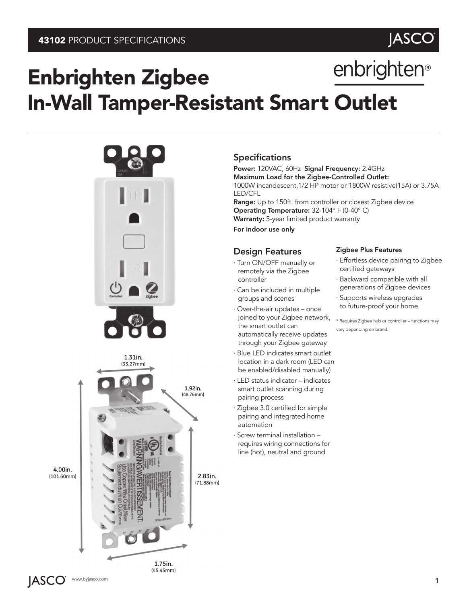

# enbrighten® Enbrighten Zigbee In-Wall Tamper-Resistant Smart Outlet



# Specifications

Power: 120VAC, 60Hz Signal Frequency: 2.4GHz Maximum Load for the Zigbee-Controlled Outlet: 1000W incandescent,1/2 HP motor or 1800W resistive(15A) or 3.75A LED/CFL

Range: Up to 150ft. from controller or closest Zigbee device Operating Temperature: 32-104° F (0-40° C) Warranty: 5-year limited product warranty

For indoor use only

### Design Features

- · Turn ON/OFF manually or remotely via the Zigbee controller
- · Can be included in multiple groups and scenes
- · Over-the-air updates once joined to your Zigbee network, the smart outlet can automatically receive updates through your Zigbee gateway
- · Blue LED indicates smart outlet location in a dark room (LED can be enabled/disabled manually)
- · LED status indicator indicates smart outlet scanning during pairing process
- · Zigbee 3.0 certified for simple pairing and integrated home automation
- · Screw terminal installation requires wiring connections for line (hot), neutral and ground

#### Zigbee Plus Features

- · Effortless device pairing to Zigbee certified gateways
- · Backward compatible with all generations of Zigbee devices
- · Supports wireless upgrades to future-proof your home

\* Requires Zigbee hub or controller – functions may vary depending on brand.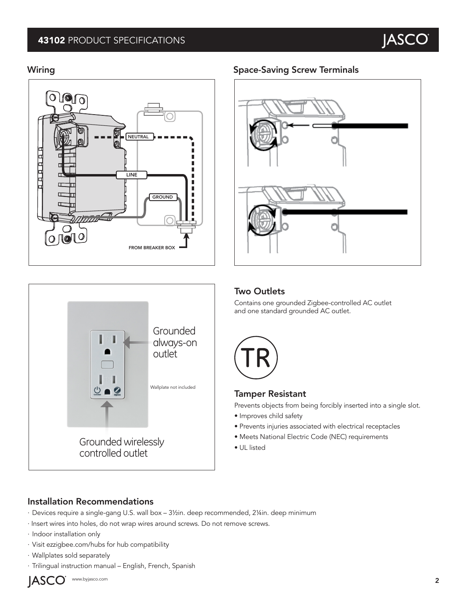# 43102 PRODUCT SPECIFICATIONS





### Wiring **Space-Saving Screw Terminals** Space-Saving Screw Terminals



### Two Outlets

Contains one grounded Zigbee-controlled AC outlet and one standard grounded AC outlet.



# Tamper Resistant

Prevents objects from being forcibly inserted into a single slot.

- Improves child safety
- Prevents injuries associated with electrical receptacles
- Meets National Electric Code (NEC) requirements
- UL listed

# Installation Recommendations

- · Devices require a single-gang U.S. wall box 3½in. deep recommended, 2¼in. deep minimum
- · Insert wires into holes, do not wrap wires around screws. Do not remove screws.
- · Indoor installation only
- · Visit ezzigbee.com/hubs for hub compatibility
- · Wallplates sold separately
- · Trilingual instruction manual English, French, Spanish



www.byjasco.com **2**